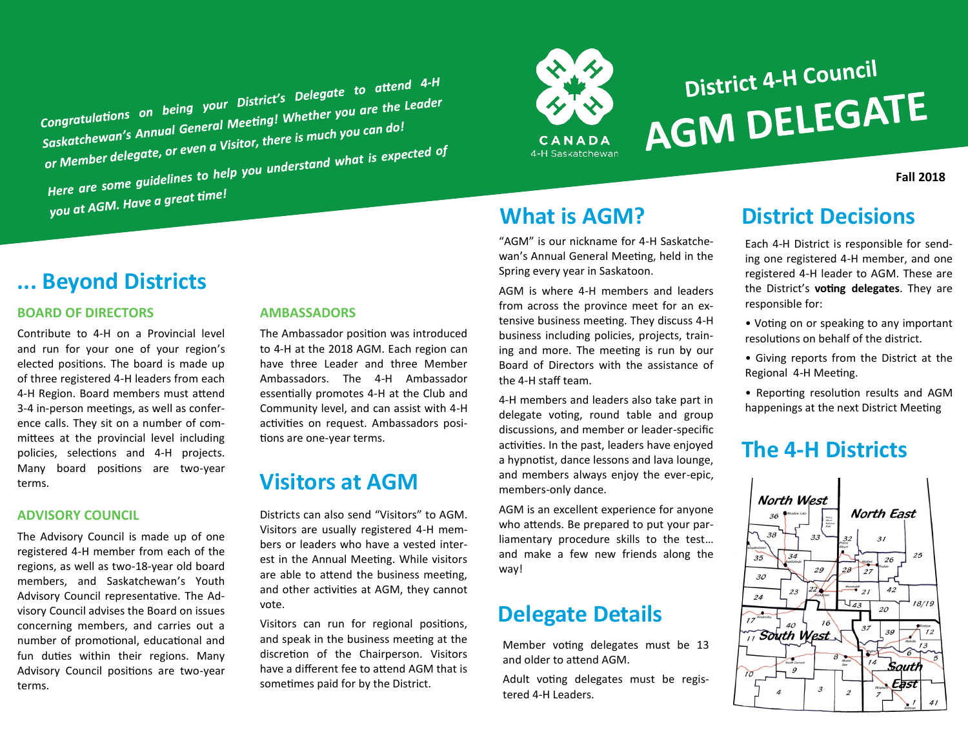Congratulations on being your District's Delegate to attend 4-H<br>Congratulations on being your District's Delegate to attend 4-H Congratulations on being your District's Delegate to accept<br>Saskatchewan's Annual General Meeting! Whether you are the Leader<br>Leagte of even a Visitor, there is much you can do! Congratulations on the General Meeting! Whether you<br>Saskatchewan's Annual General Meeting! Where is much you can do!<br>or Member delegate, or even a Visitor, there is much you can do! Saskatchewurden.com<br>or Member delegate, or even a Visitor, there is much you<br>Here are some guidelines to help you understand what is expected of<br>Here are some guidelines to help you understand what is expected of Here are some you.<br>you at AGM. Have a great time!



# District 4-H Council **AGM DELEGATE**

**Fall 2018**

### **... Beyond Districts**

#### **BOARD OF DIRECTORS**

Contribute to 4-H on a Provincial level and run for your one of your region's elected positions. The board is made up of three registered 4-H leaders from each 4-H Region. Board members must attend 3-4 in-person meetings, as well as conference calls. They sit on a number of committees at the provincial level including policies, selections and 4-H projects. Many board positions are two-year terms.

#### **ADVISORY COUNCIL**

The Advisory Council is made up of one registered 4-H member from each of the regions, as well as two-18-year old board members, and Saskatchewan's Youth Advisory Council representative. The Advisory Council advises the Board on issues concerning members, and carries out a number of promotional, educational and fun duties within their regions. Many Advisory Council positions are two-year terms.

#### **AMBASSADORS**

The Ambassador position was introduced to 4-H at the 2018 AGM. Each region can have three Leader and three Member Ambassadors. The 4-H Ambassador essentially promotes 4-H at the Club and Community level, and can assist with 4-H activities on request. Ambassadors positions are one-year terms.

## **Visitors at AGM**

Districts can also send "Visitors" to AGM. Visitors are usually registered 4-H members or leaders who have a vested interest in the Annual Meeting. While visitors are able to attend the business meeting, and other activities at AGM, they cannot vote.

Visitors can run for regional positions, and speak in the business meeting at the discretion of the Chairperson. Visitors have a different fee to attend AGM that is sometimes paid for by the District.

"AGM" is our nickname for 4-H Saskatchewan's Annual General Meeting, held in the Spring every year in Saskatoon.

AGM is where 4-H members and leaders from across the province meet for an extensive business meeting. They discuss 4-H business including policies, projects, training and more. The meeting is run by our Board of Directors with the assistance of the 4-H staff team.

4-H members and leaders also take part in delegate voting, round table and group discussions, and member or leader-specific activities. In the past, leaders have enjoyed a hypnotist, dance lessons and lava lounge, and members always enjoy the ever-epic, members-only dance.

AGM is an excellent experience for anyone who attends. Be prepared to put your parliamentary procedure skills to the test… and make a few new friends along the way!

## **Delegate Details**

Member voting delegates must be 13 and older to attend AGM.

Adult voting delegates must be registered 4-H Leaders.

# **What is AGM? District Decisions**

Each 4-H District is responsible for sending one registered 4-H member, and one registered 4-H leader to AGM. These are the District's **voting delegates**. They are responsible for:

- Voting on or speaking to any important resolutions on behalf of the district.
- Giving reports from the District at the Regional 4-H Meeting.
- Reporting resolution results and AGM happenings at the next District Meeting

## **The 4-H Districts**